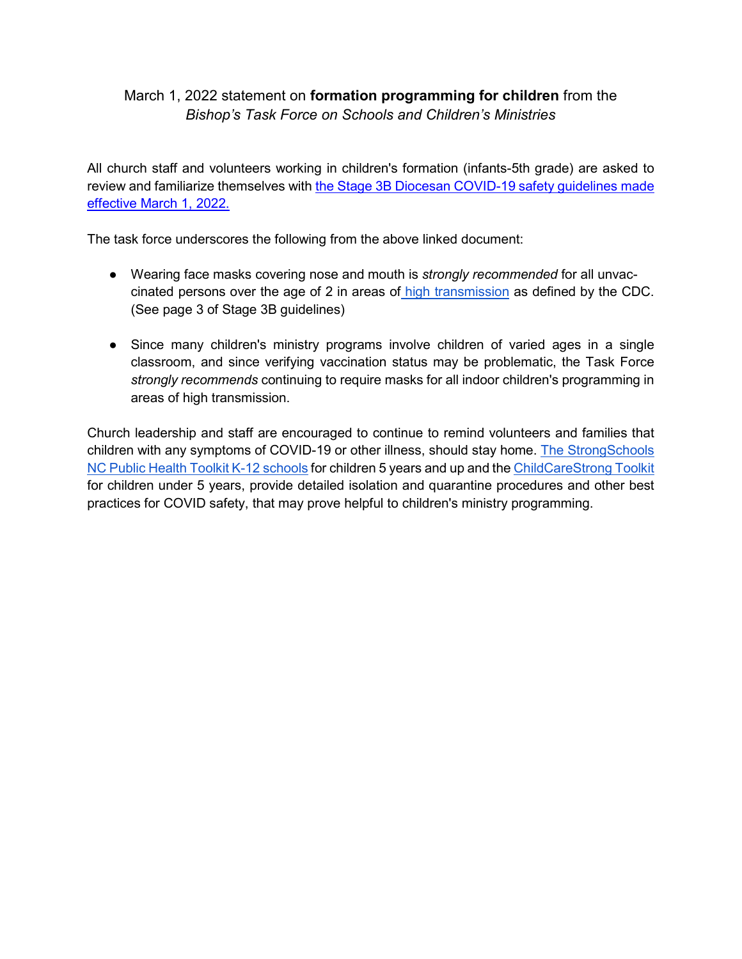## March 1, 2022 statement on **formation programming for children** from the *Bishop's Task Force on Schools and Children's Ministries*

All church staff and volunteers working in children's formation (infants-5th grade) are asked to review and familiarize themselves with the Stage 3B Diocesan COVID-19 safety guidelines made [effective March 1, 2022.](https://www.episdionc.org/coronavirus/)

The task force underscores the following from the above linked document:

- Wearing face masks covering nose and mouth is *strongly recommended* for all unvaccinated persons over the age of 2 in areas of [high transmission](https://www.cdc.gov/coronavirus/2019-ncov/your-health/covid-by-county.html) as defined by the CDC. (See page 3 of Stage 3B guidelines)
- Since many children's ministry programs involve children of varied ages in a single classroom, and since verifying vaccination status may be problematic, the Task Force *strongly recommends* continuing to require masks for all indoor children's programming in areas of high transmission.

Church leadership and staff are encouraged to continue to remind volunteers and families that children with any symptoms of COVID-19 or other illness, should stay home. [The StrongSchools](https://covid19.ncdhhs.gov/media/164/open)  [NC Public Health Toolkit K-12 schools](https://covid19.ncdhhs.gov/media/164/open) for children 5 years and up and the [ChildCareStrong Toolkit](https://covid19.ncdhhs.gov/media/220/download) for children under 5 years, provide detailed isolation and quarantine procedures and other best practices for COVID safety, that may prove helpful to children's ministry programming.